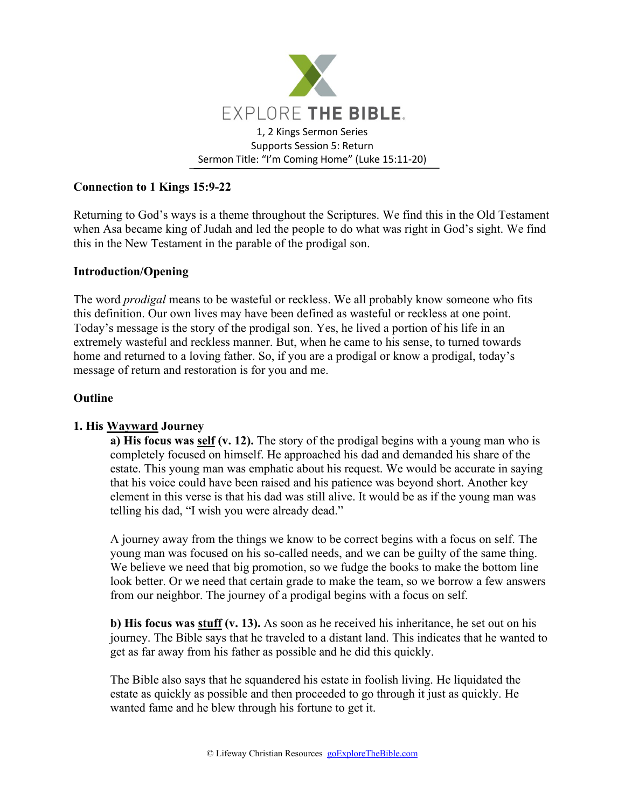

# **Connection to 1 Kings 15:9-22**

Returning to God's ways is a theme throughout the Scriptures. We find this in the Old Testament when Asa became king of Judah and led the people to do what was right in God's sight. We find this in the New Testament in the parable of the prodigal son.

### **Introduction/Opening**

The word *prodigal* means to be wasteful or reckless. We all probably know someone who fits this definition. Our own lives may have been defined as wasteful or reckless at one point. Today's message is the story of the prodigal son. Yes, he lived a portion of his life in an extremely wasteful and reckless manner. But, when he came to his sense, to turned towards home and returned to a loving father. So, if you are a prodigal or know a prodigal, today's message of return and restoration is for you and me.

#### **Outline**

### **1. His Wayward Journey**

**a) His focus was self (v. 12).** The story of the prodigal begins with a young man who is completely focused on himself. He approached his dad and demanded his share of the estate. This young man was emphatic about his request. We would be accurate in saying that his voice could have been raised and his patience was beyond short. Another key element in this verse is that his dad was still alive. It would be as if the young man was telling his dad, "I wish you were already dead."

A journey away from the things we know to be correct begins with a focus on self. The young man was focused on his so-called needs, and we can be guilty of the same thing. We believe we need that big promotion, so we fudge the books to make the bottom line look better. Or we need that certain grade to make the team, so we borrow a few answers from our neighbor. The journey of a prodigal begins with a focus on self.

**b) His focus was stuff (v. 13).** As soon as he received his inheritance, he set out on his journey. The Bible says that he traveled to a distant land. This indicates that he wanted to get as far away from his father as possible and he did this quickly.

The Bible also says that he squandered his estate in foolish living. He liquidated the estate as quickly as possible and then proceeded to go through it just as quickly. He wanted fame and he blew through his fortune to get it.